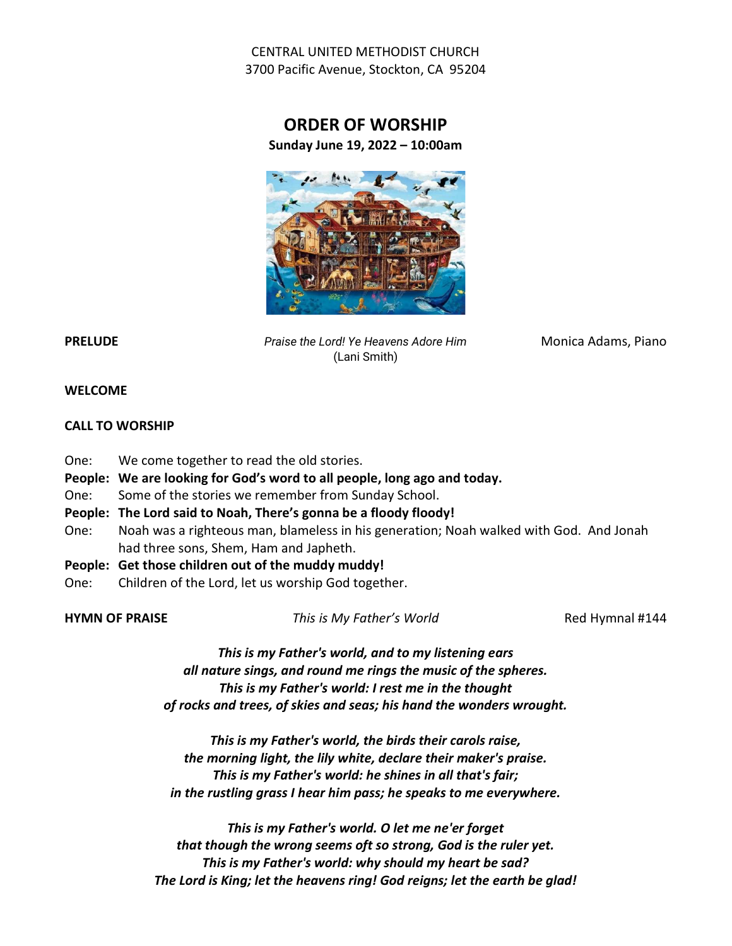CENTRAL UNITED METHODIST CHURCH 3700 Pacific Avenue, Stockton, CA 95204

## ORDER OF WORSHIP Sunday June 19, 2022 – 10:00am



PRELUDE PRELUDE Praise the Lord! Ye Heavens Adore Him Monica Adams, Piano (Lani Smith)

#### WELCOME

#### CALL TO WORSHIP

- One: We come together to read the old stories.
- People: We are looking for God's word to all people, long ago and today.
- One: Some of the stories we remember from Sunday School.
- People: The Lord said to Noah, There's gonna be a floody floody!
- One: Noah was a righteous man, blameless in his generation; Noah walked with God. And Jonah had three sons, Shem, Ham and Japheth.
- People: Get those children out of the muddy muddy!
- One: Children of the Lord, let us worship God together.

HYMN OF PRAISE This is My Father's World Red Hymnal #144

This is my Father's world, and to my listening ears all nature sings, and round me rings the music of the spheres. This is my Father's world: I rest me in the thought of rocks and trees, of skies and seas; his hand the wonders wrought.

This is my Father's world, the birds their carols raise, the morning light, the lily white, declare their maker's praise. This is my Father's world: he shines in all that's fair; in the rustling grass I hear him pass; he speaks to me everywhere.

This is my Father's world. O let me ne'er forget that though the wrong seems oft so strong, God is the ruler yet. This is my Father's world: why should my heart be sad? The Lord is King; let the heavens ring! God reigns; let the earth be glad!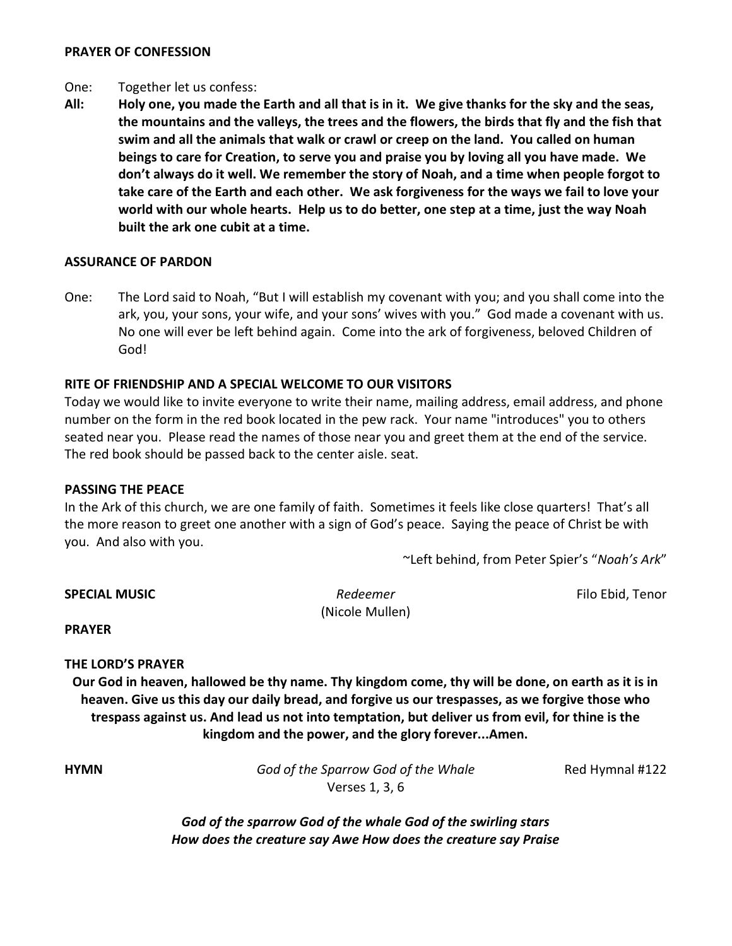#### PRAYER OF CONFESSION

#### One: Together let us confess:

All: Holy one, you made the Earth and all that is in it. We give thanks for the sky and the seas, the mountains and the valleys, the trees and the flowers, the birds that fly and the fish that swim and all the animals that walk or crawl or creep on the land. You called on human beings to care for Creation, to serve you and praise you by loving all you have made. We don't always do it well. We remember the story of Noah, and a time when people forgot to take care of the Earth and each other. We ask forgiveness for the ways we fail to love your world with our whole hearts. Help us to do better, one step at a time, just the way Noah built the ark one cubit at a time.

#### ASSURANCE OF PARDON

One: The Lord said to Noah, "But I will establish my covenant with you; and you shall come into the ark, you, your sons, your wife, and your sons' wives with you." God made a covenant with us. No one will ever be left behind again. Come into the ark of forgiveness, beloved Children of God!

#### RITE OF FRIENDSHIP AND A SPECIAL WELCOME TO OUR VISITORS

Today we would like to invite everyone to write their name, mailing address, email address, and phone number on the form in the red book located in the pew rack. Your name "introduces" you to others seated near you. Please read the names of those near you and greet them at the end of the service. The red book should be passed back to the center aisle. seat.

#### PASSING THE PEACE

In the Ark of this church, we are one family of faith. Sometimes it feels like close quarters! That's all the more reason to greet one another with a sign of God's peace. Saying the peace of Christ be with you. And also with you.

~Left behind, from Peter Spier's "Noah's Ark"

**SPECIAL MUSIC Redeemer Redeemer Redeemer Filo Ebid, Tenor**  (Nicole Mullen) PRAYER THE LORD'S PRAYER

Our God in heaven, hallowed be thy name. Thy kingdom come, thy will be done, on earth as it is in heaven. Give us this day our daily bread, and forgive us our trespasses, as we forgive those who trespass against us. And lead us not into temptation, but deliver us from evil, for thine is the kingdom and the power, and the glory forever...Amen.

**HYMN** God of the Sparrow God of the Whale Red Hymnal #122 Verses 1, 3, 6

God of the sparrow God of the whale God of the swirling stars How does the creature say Awe How does the creature say Praise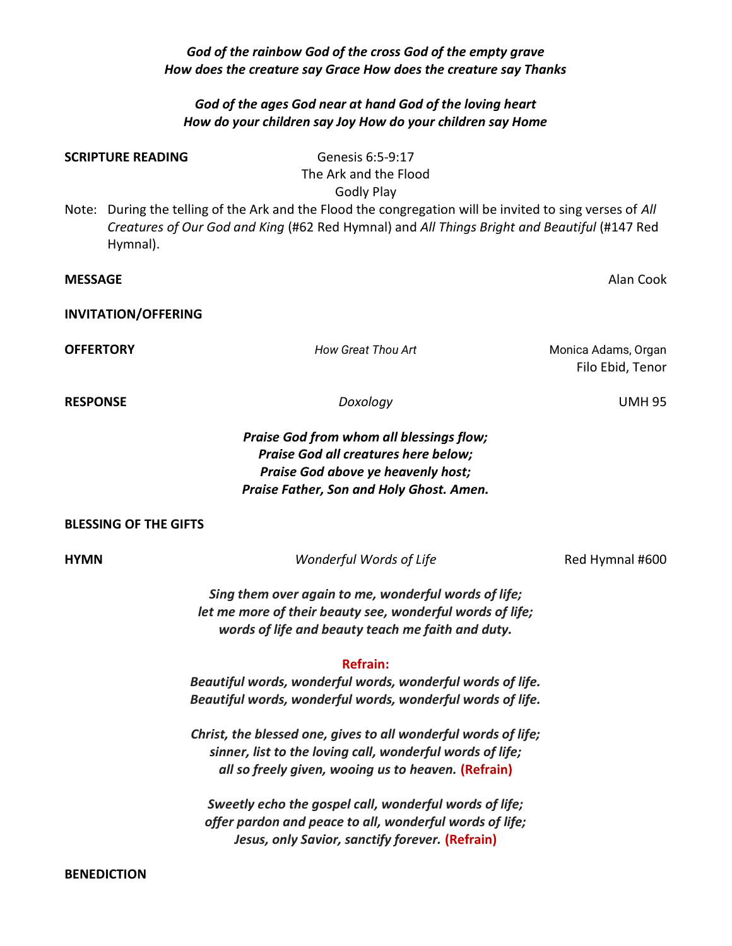#### God of the rainbow God of the cross God of the empty grave How does the creature say Grace How does the creature say Thanks

#### God of the ages God near at hand God of the loving heart How do your children say Joy How do your children say Home

# SCRIPTURE READING Genesis 6:5-9:17 The Ark and the Flood Godly Play Note: During the telling of the Ark and the Flood the congregation will be invited to sing verses of All Creatures of Our God and King (#62 Red Hymnal) and All Things Bright and Beautiful (#147 Red Hymnal). **MESSAGE** Alan Cook INVITATION/OFFERING **OFFERTORY Matter CONFERTORY How Great Thou Art Monica Adams**, Organ Filo Ebid, Tenor RESPONSE UMH 95 Praise God from whom all blessings flow; Praise God all creatures here below; Praise God above ye heavenly host; Praise Father, Son and Holy Ghost. Amen. BLESSING OF THE GIFTS **HYMN Wonderful Words of Life Red Hymnal #600** Sing them over again to me, wonderful words of life; let me more of their beauty see, wonderful words of life; words of life and beauty teach me faith and duty. Refrain: Beautiful words, wonderful words, wonderful words of life. Beautiful words, wonderful words, wonderful words of life. Christ, the blessed one, gives to all wonderful words of life; sinner, list to the loving call, wonderful words of life; all so freely given, wooing us to heaven. (Refrain) Sweetly echo the gospel call, wonderful words of life; offer pardon and peace to all, wonderful words of life;

Jesus, only Savior, sanctify forever. (Refrain)

BENEDICTION